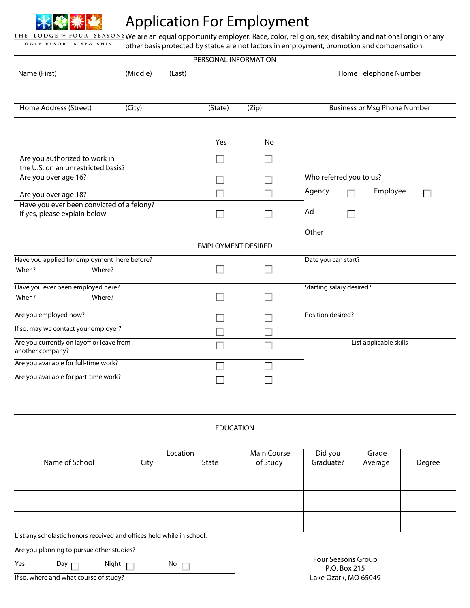|                                                                                                                                                              |                      | <b>Application For Employment</b>                                                          |                                    |                          |                                     |        |  |
|--------------------------------------------------------------------------------------------------------------------------------------------------------------|----------------------|--------------------------------------------------------------------------------------------|------------------------------------|--------------------------|-------------------------------------|--------|--|
| THE LODGE of FOUR SEASONS We are an equal opportunity employer. Race, color, religion, sex, disability and national origin or any<br>GOLF RESORT & SPA SHIKI |                      | other basis protected by statue are not factors in employment, promotion and compensation. |                                    |                          |                                     |        |  |
|                                                                                                                                                              |                      | PERSONAL INFORMATION                                                                       |                                    |                          |                                     |        |  |
| Name (First)                                                                                                                                                 | (Middle)             | Home Telephone Number<br>(Last)                                                            |                                    |                          |                                     |        |  |
| Home Address (Street)                                                                                                                                        | (City)               | (State)                                                                                    | (Zip)                              |                          | <b>Business or Msg Phone Number</b> |        |  |
|                                                                                                                                                              |                      | Yes                                                                                        | No                                 |                          |                                     |        |  |
| Are you authorized to work in<br>the U.S. on an unrestricted basis?                                                                                          |                      |                                                                                            |                                    |                          |                                     |        |  |
| Are you over age 16?                                                                                                                                         |                      |                                                                                            |                                    | Who referred you to us?  |                                     |        |  |
| Are you over age 18?                                                                                                                                         |                      |                                                                                            |                                    | Agency                   | Employee                            |        |  |
| Have you ever been convicted of a felony?<br>If yes, please explain below                                                                                    |                      |                                                                                            |                                    | Ad                       |                                     |        |  |
|                                                                                                                                                              |                      |                                                                                            |                                    | Other                    |                                     |        |  |
|                                                                                                                                                              |                      | <b>EMPLOYMENT DESIRED</b>                                                                  |                                    |                          |                                     |        |  |
| Have you applied for employment here before?<br>When?<br>Where?                                                                                              |                      |                                                                                            |                                    | Date you can start?      |                                     |        |  |
| Have you ever been employed here?<br>When?<br>Where?                                                                                                         |                      |                                                                                            |                                    | Starting salary desired? |                                     |        |  |
|                                                                                                                                                              |                      |                                                                                            |                                    |                          |                                     |        |  |
| Are you employed now?<br>If so, may we contact your employer?                                                                                                |                      |                                                                                            |                                    | Position desired?        |                                     |        |  |
| Are you currently on layoff or leave from<br>another company?                                                                                                |                      |                                                                                            | List applicable skills             |                          |                                     |        |  |
| Are you available for full-time work?                                                                                                                        |                      |                                                                                            |                                    |                          |                                     |        |  |
| Are you available for part-time work?                                                                                                                        |                      |                                                                                            |                                    |                          |                                     |        |  |
|                                                                                                                                                              |                      |                                                                                            |                                    |                          |                                     |        |  |
|                                                                                                                                                              |                      | <b>EDUCATION</b>                                                                           |                                    |                          |                                     |        |  |
| Name of School                                                                                                                                               | City                 | Location<br>State                                                                          | <b>Main Course</b><br>of Study     | Did you<br>Graduate?     | Grade                               | Degree |  |
|                                                                                                                                                              |                      |                                                                                            |                                    |                          | Average                             |        |  |
|                                                                                                                                                              |                      |                                                                                            |                                    |                          |                                     |        |  |
|                                                                                                                                                              |                      |                                                                                            |                                    |                          |                                     |        |  |
| List any scholastic honors received and offices held while in school.                                                                                        |                      |                                                                                            |                                    |                          |                                     |        |  |
| Are you planning to pursue other studies?                                                                                                                    |                      |                                                                                            |                                    |                          |                                     |        |  |
| Yes<br>Day $\Gamma$<br>Night<br>No<br>$\Box$                                                                                                                 |                      |                                                                                            | Four Seasons Group<br>P.O. Box 215 |                          |                                     |        |  |
| If so, where and what course of study?                                                                                                                       | Lake Ozark, MO 65049 |                                                                                            |                                    |                          |                                     |        |  |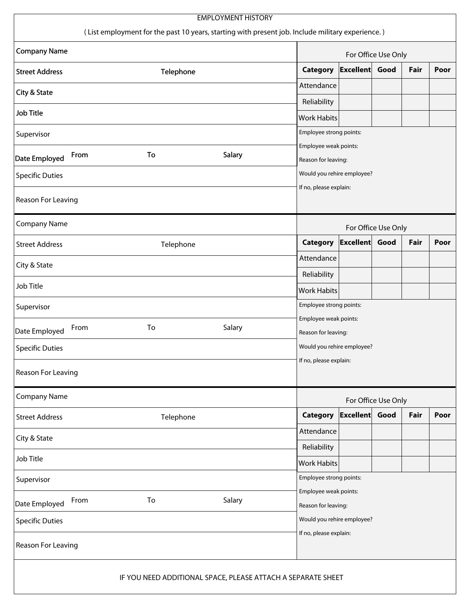| <b>EMPLOYMENT HISTORY</b><br>(List employment for the past 10 years, starting with present job. Include military experience.) |           |                        |                                                   |                         |                     |      |      |  |
|-------------------------------------------------------------------------------------------------------------------------------|-----------|------------------------|---------------------------------------------------|-------------------------|---------------------|------|------|--|
| <b>Company Name</b>                                                                                                           |           |                        | For Office Use Only                               |                         |                     |      |      |  |
| <b>Street Address</b>                                                                                                         | Telephone |                        | Category                                          | <b>Excellent</b>        | Good                | Fair | Poor |  |
| City & State                                                                                                                  |           |                        | Attendance                                        |                         |                     |      |      |  |
| Job Title                                                                                                                     |           |                        | Reliability                                       |                         |                     |      |      |  |
|                                                                                                                               |           |                        | <b>Work Habits</b>                                |                         |                     |      |      |  |
| Supervisor                                                                                                                    |           |                        | Employee strong points:<br>Employee weak points:  |                         |                     |      |      |  |
| From<br>Date Employed                                                                                                         | To        | Salary                 | Reason for leaving:                               |                         |                     |      |      |  |
| <b>Specific Duties</b>                                                                                                        |           |                        | Would you rehire employee?                        |                         |                     |      |      |  |
| Reason For Leaving                                                                                                            |           | If no, please explain: |                                                   |                         |                     |      |      |  |
| <b>Company Name</b>                                                                                                           |           |                        | For Office Use Only                               |                         |                     |      |      |  |
| <b>Street Address</b>                                                                                                         | Telephone |                        | <b>Category</b>                                   | <b>Excellent</b>        | Good                | Fair | Poor |  |
| City & State                                                                                                                  |           |                        | Attendance                                        |                         |                     |      |      |  |
|                                                                                                                               |           |                        | Reliability                                       |                         |                     |      |      |  |
| Job Title                                                                                                                     |           |                        | <b>Work Habits</b>                                |                         |                     |      |      |  |
| Supervisor                                                                                                                    |           |                        |                                                   | Employee strong points: |                     |      |      |  |
| From<br>Date Employed                                                                                                         | To        | Salary                 | Employee weak points:                             |                         |                     |      |      |  |
|                                                                                                                               |           |                        | Reason for leaving:<br>Would you rehire employee? |                         |                     |      |      |  |
| <b>Specific Duties</b><br>If no, please explain:                                                                              |           |                        |                                                   |                         |                     |      |      |  |
| Reason For Leaving                                                                                                            |           |                        |                                                   |                         |                     |      |      |  |
| <b>Company Name</b>                                                                                                           |           |                        |                                                   |                         | For Office Use Only |      |      |  |
| <b>Street Address</b>                                                                                                         | Telephone |                        | <b>Category</b>                                   | Excellent               | Good                | Fair | Poor |  |
| City & State                                                                                                                  |           |                        | Attendance                                        |                         |                     |      |      |  |
| Job Title                                                                                                                     |           |                        | Reliability                                       |                         |                     |      |      |  |
|                                                                                                                               |           |                        | <b>Work Habits</b>                                |                         |                     |      |      |  |
| Supervisor                                                                                                                    |           |                        | Employee strong points:<br>Employee weak points:  |                         |                     |      |      |  |
| From<br>Date Employed                                                                                                         | To        | Salary                 | Reason for leaving:                               |                         |                     |      |      |  |
| <b>Specific Duties</b>                                                                                                        |           |                        | Would you rehire employee?                        |                         |                     |      |      |  |
| If no, please explain:<br>Reason For Leaving                                                                                  |           |                        |                                                   |                         |                     |      |      |  |
| IF YOU NEED ADDITIONAL SPACE, PLEASE ATTACH A SEPARATE SHEET                                                                  |           |                        |                                                   |                         |                     |      |      |  |